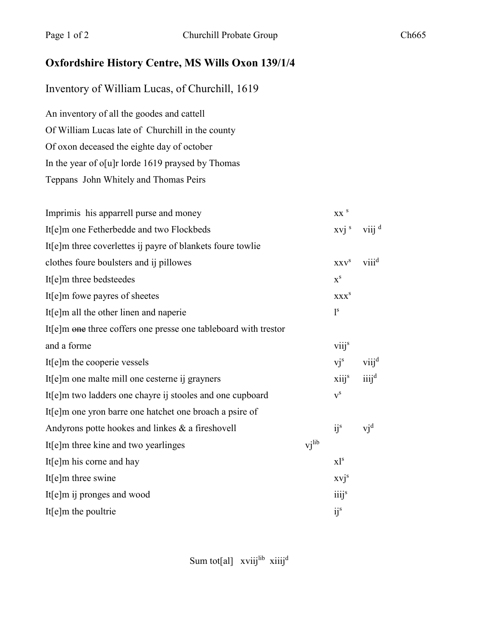## **Oxfordshire History Centre, MS Wills Oxon 139/1/4**

Inventory of William Lucas, of Churchill, 1619

An inventory of all the goodes and cattell Of William Lucas late of Churchill in the county Of oxon deceased the eighte day of october In the year of o[u]r lorde 1619 praysed by Thomas Teppans John Whitely and Thomas Peirs

| Imprimis his apparrell purse and money                          |       | $XX$ <sup>S</sup>       |                     |
|-----------------------------------------------------------------|-------|-------------------------|---------------------|
| It[e]m one Fetherbedde and two Flockbeds                        |       | xvi <sup>s</sup>        | $viii$ <sup>d</sup> |
| It[e]m three coverlettes ij payre of blankets foure towlie      |       |                         |                     |
| clothes foure boulsters and ij pillowes                         |       | XXV <sup>S</sup>        | viii <sup>d</sup>   |
| It[e]m three bedsteedes                                         |       | $X^S$                   |                     |
| It[e]m fowe payres of sheetes                                   |       | <b>XXX</b> <sup>S</sup> |                     |
| It[e]m all the other linen and naperie                          |       | 1 <sup>s</sup>          |                     |
| It[e]m one three coffers one presse one tableboard with trestor |       |                         |                     |
| and a forme                                                     |       | viij <sup>s</sup>       |                     |
| It[e]m the cooperie vessels                                     |       | $vi^s$                  | $viii^d$            |
| It[e]m one malte mill one cesterne ij grayners                  |       | $xiii^s$                | $iii^d$             |
| It[e]m two ladders one chayre ij stooles and one cupboard       |       | ${\bf v}^{\rm s}$       |                     |
| It[e]m one yron barre one hatchet one broach a psire of         |       |                         |                     |
| Andyrons potte hookes and linkes $\&$ a fireshovell             |       | $i^s$                   | $vi^d$              |
| It[e]m three kine and two yearlinges                            | vjlib |                         |                     |
| It $[e]$ m his corne and hay                                    |       | $x$ <sup>1s</sup>       |                     |
| It[e]m three swine                                              |       | $xvi^s$                 |                     |
| It[e]m ij pronges and wood                                      |       | iiij <sup>s</sup>       |                     |
| It $[e]$ m the poultrie                                         |       | i j <sup>s</sup>        |                     |

Sum tot[al] xviijlib xiiijd